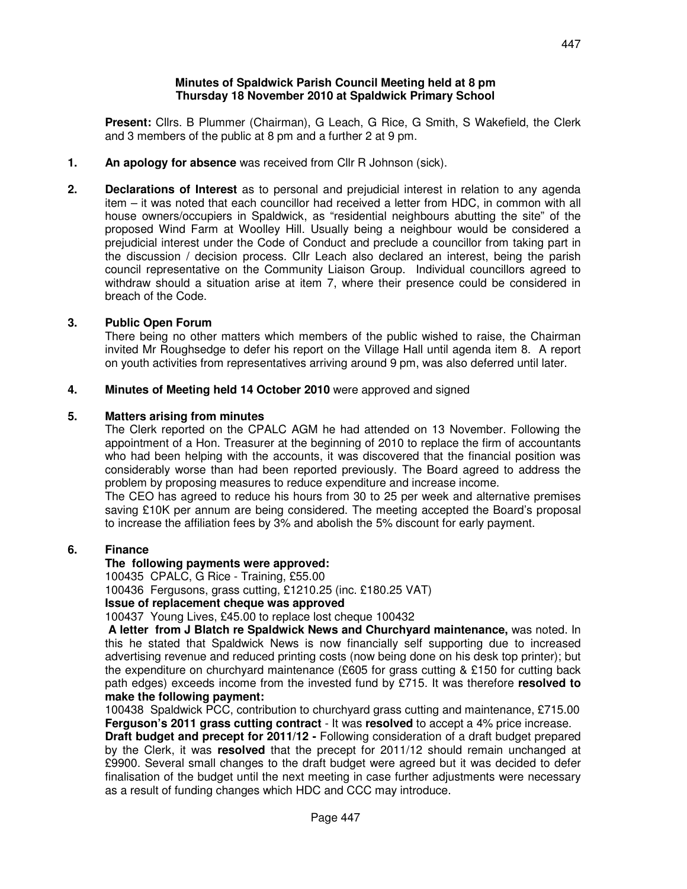#### **Minutes of Spaldwick Parish Council Meeting held at 8 pm Thursday 18 November 2010 at Spaldwick Primary School**

 **Present:** Cllrs. B Plummer (Chairman), G Leach, G Rice, G Smith, S Wakefield, the Clerk and 3 members of the public at 8 pm and a further 2 at 9 pm.

- **1. An apology for absence** was received from Cllr R Johnson (sick).
- **2. Declarations of Interest** as to personal and prejudicial interest in relation to any agenda item – it was noted that each councillor had received a letter from HDC, in common with all house owners/occupiers in Spaldwick, as "residential neighbours abutting the site" of the proposed Wind Farm at Woolley Hill. Usually being a neighbour would be considered a prejudicial interest under the Code of Conduct and preclude a councillor from taking part in the discussion / decision process. Cllr Leach also declared an interest, being the parish council representative on the Community Liaison Group. Individual councillors agreed to withdraw should a situation arise at item 7, where their presence could be considered in breach of the Code.

### **3. Public Open Forum**

There being no other matters which members of the public wished to raise, the Chairman invited Mr Roughsedge to defer his report on the Village Hall until agenda item 8. A report on youth activities from representatives arriving around 9 pm, was also deferred until later.

### **4. Minutes of Meeting held 14 October 2010** were approved and signed

### **5. Matters arising from minutes**

The Clerk reported on the CPALC AGM he had attended on 13 November. Following the appointment of a Hon. Treasurer at the beginning of 2010 to replace the firm of accountants who had been helping with the accounts, it was discovered that the financial position was considerably worse than had been reported previously. The Board agreed to address the problem by proposing measures to reduce expenditure and increase income.

 The CEO has agreed to reduce his hours from 30 to 25 per week and alternative premises saving £10K per annum are being considered. The meeting accepted the Board's proposal to increase the affiliation fees by 3% and abolish the 5% discount for early payment.

### **6. Finance**

### **The following payments were approved:**

100435 CPALC, G Rice - Training, £55.00

100436 Fergusons, grass cutting, £1210.25 (inc. £180.25 VAT)

### **Issue of replacement cheque was approved**

100437 Young Lives, £45.00 to replace lost cheque 100432

 **A letter from J Blatch re Spaldwick News and Churchyard maintenance,** was noted. In this he stated that Spaldwick News is now financially self supporting due to increased advertising revenue and reduced printing costs (now being done on his desk top printer); but the expenditure on churchyard maintenance (£605 for grass cutting & £150 for cutting back path edges) exceeds income from the invested fund by £715. It was therefore **resolved to make the following payment:**

100438 Spaldwick PCC, contribution to churchyard grass cutting and maintenance, £715.00 **Ferguson's 2011 grass cutting contract** - It was **resolved** to accept a 4% price increase.

**Draft budget and precept for 2011/12 -** Following consideration of a draft budget prepared by the Clerk, it was **resolved** that the precept for 2011/12 should remain unchanged at £9900. Several small changes to the draft budget were agreed but it was decided to defer finalisation of the budget until the next meeting in case further adjustments were necessary as a result of funding changes which HDC and CCC may introduce.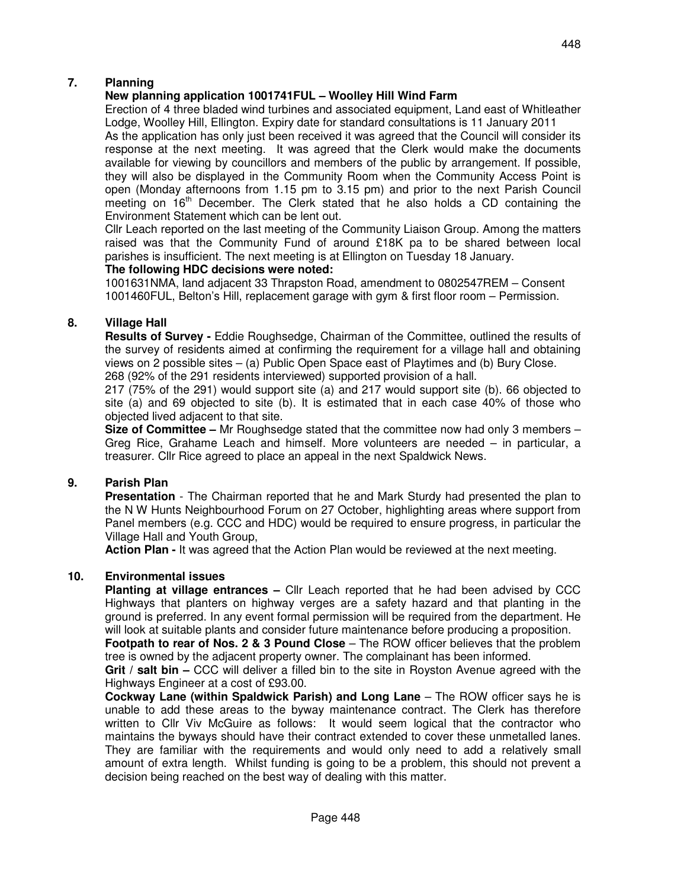# **New planning application 1001741FUL – Woolley Hill Wind Farm**

Erection of 4 three bladed wind turbines and associated equipment, Land east of Whitleather Lodge, Woolley Hill, Ellington. Expiry date for standard consultations is 11 January 2011

As the application has only just been received it was agreed that the Council will consider its response at the next meeting. It was agreed that the Clerk would make the documents available for viewing by councillors and members of the public by arrangement. If possible, they will also be displayed in the Community Room when the Community Access Point is open (Monday afternoons from 1.15 pm to 3.15 pm) and prior to the next Parish Council meeting on  $16<sup>th</sup>$  December. The Clerk stated that he also holds a CD containing the Environment Statement which can be lent out.

Cllr Leach reported on the last meeting of the Community Liaison Group. Among the matters raised was that the Community Fund of around £18K pa to be shared between local parishes is insufficient. The next meeting is at Ellington on Tuesday 18 January.

### **The following HDC decisions were noted:**

1001631NMA, land adjacent 33 Thrapston Road, amendment to 0802547REM – Consent 1001460FUL, Belton's Hill, replacement garage with gym & first floor room – Permission.

# **8. Village Hall**

 **Results of Survey -** Eddie Roughsedge, Chairman of the Committee, outlined the results of the survey of residents aimed at confirming the requirement for a village hall and obtaining views on 2 possible sites  $-$  (a) Public Open Space east of Playtimes and (b) Bury Close. 268 (92% of the 291 residents interviewed) supported provision of a hall.

217 (75% of the 291) would support site (a) and 217 would support site (b). 66 objected to site (a) and 69 objected to site (b). It is estimated that in each case 40% of those who objected lived adjacent to that site.

**Size of Committee –** Mr Roughsedge stated that the committee now had only 3 members – Greg Rice, Grahame Leach and himself. More volunteers are needed – in particular, a treasurer. Cllr Rice agreed to place an appeal in the next Spaldwick News.

# **9. Parish Plan**

 **Presentation** - The Chairman reported that he and Mark Sturdy had presented the plan to the N W Hunts Neighbourhood Forum on 27 October, highlighting areas where support from Panel members (e.g. CCC and HDC) would be required to ensure progress, in particular the Village Hall and Youth Group,

**Action Plan -** It was agreed that the Action Plan would be reviewed at the next meeting.

# **10. Environmental issues**

**Planting at village entrances –** Cllr Leach reported that he had been advised by CCC Highways that planters on highway verges are a safety hazard and that planting in the ground is preferred. In any event formal permission will be required from the department. He will look at suitable plants and consider future maintenance before producing a proposition.

**Footpath to rear of Nos. 2 & 3 Pound Close** – The ROW officer believes that the problem tree is owned by the adjacent property owner. The complainant has been informed.

**Grit / salt bin –** CCC will deliver a filled bin to the site in Royston Avenue agreed with the Highways Engineer at a cost of £93.00.

**Cockway Lane (within Spaldwick Parish) and Long Lane** – The ROW officer says he is unable to add these areas to the byway maintenance contract. The Clerk has therefore written to Cllr Viv McGuire as follows: It would seem logical that the contractor who maintains the byways should have their contract extended to cover these unmetalled lanes. They are familiar with the requirements and would only need to add a relatively small amount of extra length. Whilst funding is going to be a problem, this should not prevent a decision being reached on the best way of dealing with this matter.